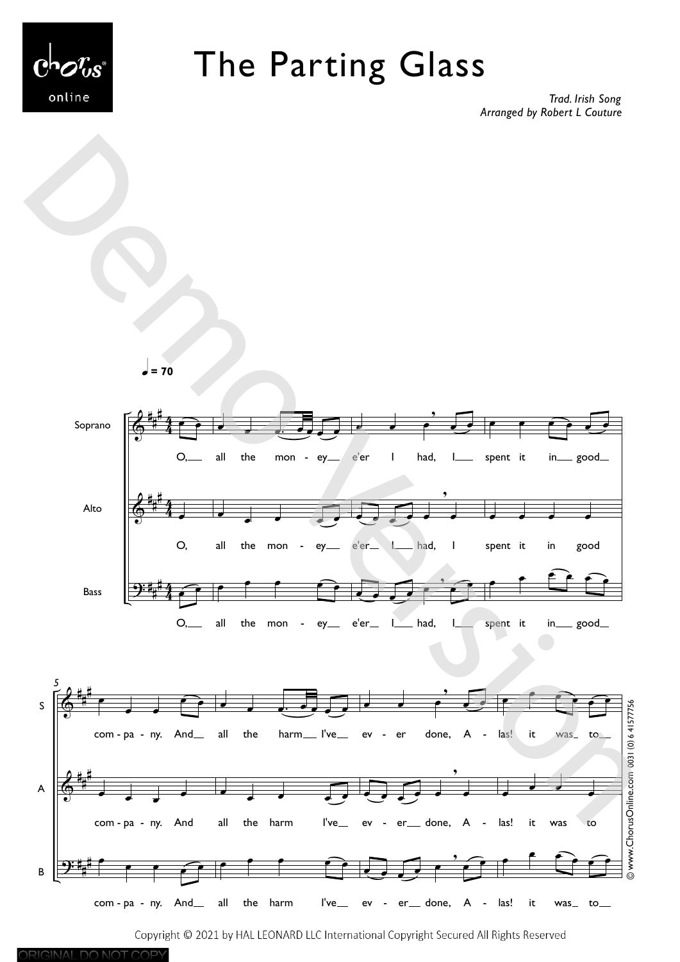

ORIGINAL DO NOT COPY

## The Parting Glass

*Trad. Irish Song Arranged by Robert L Couture*

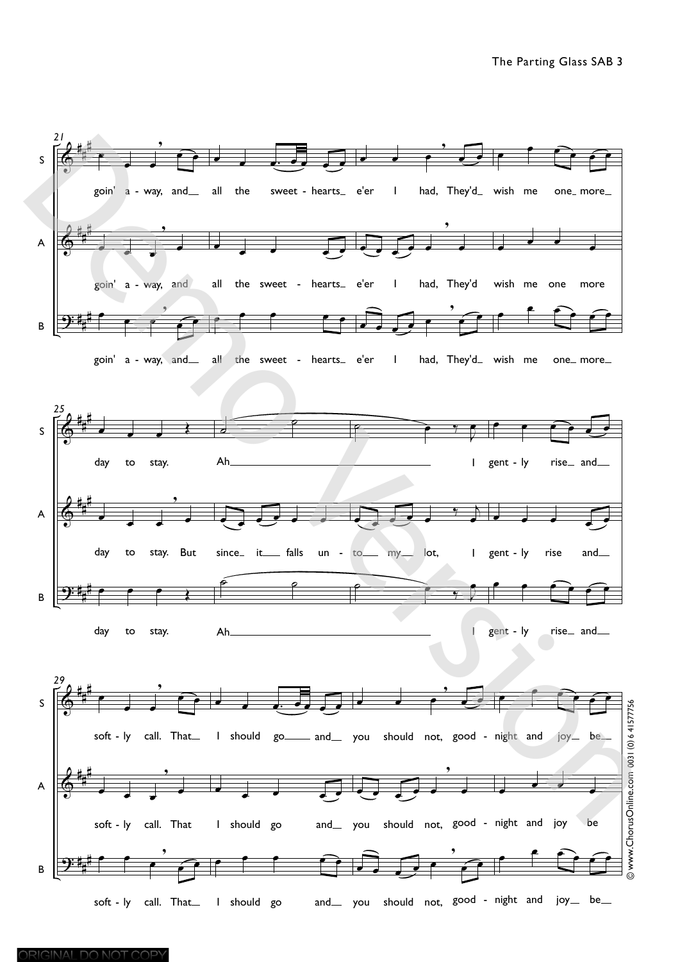